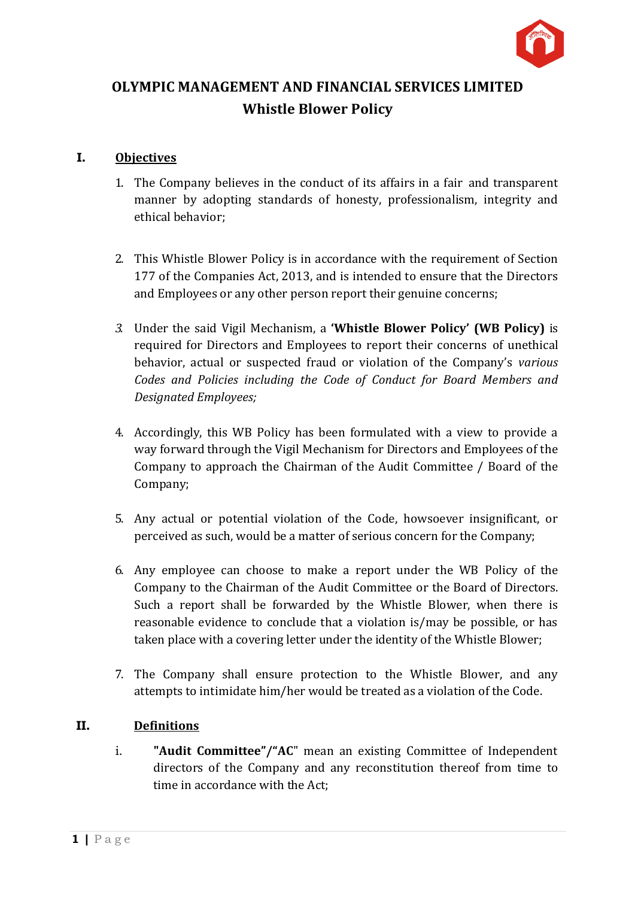

# **OLYMPIC MANAGEMENT AND FINANCIAL SERVICES LIMITED Whistle Blower Policy**

#### **I. Objectives**

- 1. The Company believes in the conduct of its affairs in a fair and transparent manner by adopting standards of honesty, professionalism, integrity and ethical behavior;
- 2. This Whistle Blower Policy is in accordance with the requirement of Section 177 of the Companies Act, 2013, and is intended to ensure that the Directors and Employees or any other person report their genuine concerns;
- *3.* Under the said Vigil Mechanism, a **'Whistle Blower Policy' (WB Policy)** is required for Directors and Employees to report their concerns of unethical behavior, actual or suspected fraud or violation of the Company's *various Codes and Policies including the Code of Conduct for Board Members and Designated Employees;*
- 4. Accordingly, this WB Policy has been formulated with a view to provide a way forward through the Vigil Mechanism for Directors and Employees of the Company to approach the Chairman of the Audit Committee / Board of the Company;
- 5. Any actual or potential violation of the Code, howsoever insignificant, or perceived as such, would be a matter of serious concern for the Company;
- 6. Any employee can choose to make a report under the WB Policy of the Company to the Chairman of the Audit Committee or the Board of Directors. Such a report shall be forwarded by the Whistle Blower, when there is reasonable evidence to conclude that a violation is/may be possible, or has taken place with a covering letter under the identity of the Whistle Blower;
- 7. The Company shall ensure protection to the Whistle Blower, and any attempts to intimidate him/her would be treated as a violation of the Code.

#### **II. Definitions**

i. **"Audit Committee"/"AC**" mean an existing Committee of Independent directors of the Company and any reconstitution thereof from time to time in accordance with the Act;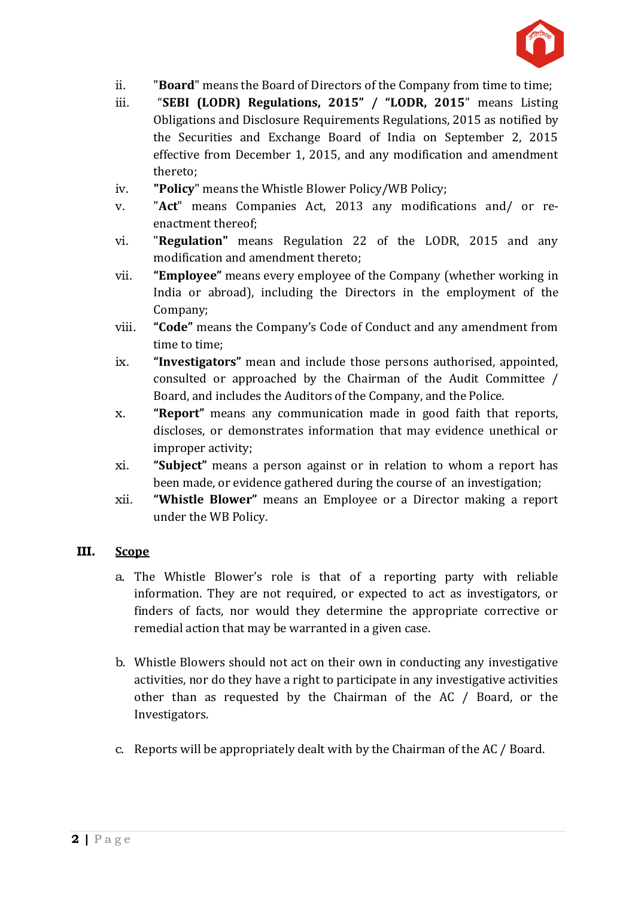

- ii. "**Board**" means the Board of Directors of the Company from time to time;
- iii. "**SEBI (LODR) Regulations, 2015" / "LODR, 2015**" means Listing Obligations and Disclosure Requirements Regulations, 2015 as notified by the Securities and Exchange Board of India on September 2, 2015 effective from December 1, 2015, and any modification and amendment thereto;
- iv. **"Policy**" means the Whistle Blower Policy/WB Policy;
- v. "**Act**" means Companies Act, 2013 any modifications and/ or reenactment thereof;
- vi. "**Regulation"** means Regulation 22 of the LODR, 2015 and any modification and amendment thereto;
- vii. **"Employee"** means every employee of the Company (whether working in India or abroad), including the Directors in the employment of the Company;
- viii. **"Code"** means the Company's Code of Conduct and any amendment from time to time;
- ix. **"Investigators"** mean and include those persons authorised, appointed, consulted or approached by the Chairman of the Audit Committee / Board, and includes the Auditors of the Company, and the Police.
- x. **"Report"** means any communication made in good faith that reports, discloses, or demonstrates information that may evidence unethical or improper activity;
- xi. **"Subject"** means a person against or in relation to whom a report has been made, or evidence gathered during the course of an investigation;
- xii. **"Whistle Blower"** means an Employee or a Director making a report under the WB Policy.

#### **III. Scope**

- a. The Whistle Blower's role is that of a reporting party with reliable information. They are not required, or expected to act as investigators, or finders of facts, nor would they determine the appropriate corrective or remedial action that may be warranted in a given case.
- b. Whistle Blowers should not act on their own in conducting any investigative activities, nor do they have a right to participate in any investigative activities other than as requested by the Chairman of the AC / Board, or the Investigators.
- c. Reports will be appropriately dealt with by the Chairman of the AC / Board.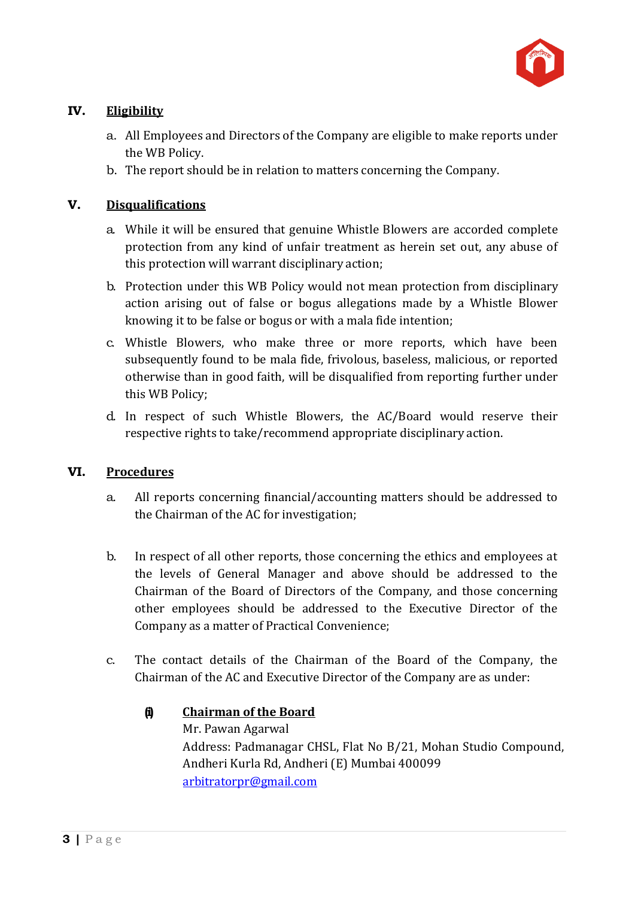

# **IV. Eligibility**

- a. All Employees and Directors of the Company are eligible to make reports under the WB Policy.
- b. The report should be in relation to matters concerning the Company.

## **V. Disqualifications**

- a. While it will be ensured that genuine Whistle Blowers are accorded complete protection from any kind of unfair treatment as herein set out, any abuse of this protection will warrant disciplinary action;
- b. Protection under this WB Policy would not mean protection from disciplinary action arising out of false or bogus allegations made by a Whistle Blower knowing it to be false or bogus or with a mala fide intention;
- c. Whistle Blowers, who make three or more reports, which have been subsequently found to be mala fide, frivolous, baseless, malicious, or reported otherwise than in good faith, will be disqualified from reporting further under this WB Policy;
- d. In respect of such Whistle Blowers, the AC/Board would reserve their respective rights to take/recommend appropriate disciplinary action.

## **VI. Procedures**

- a. All reports concerning financial/accounting matters should be addressed to the Chairman of the AC for investigation;
- b. In respect of all other reports, those concerning the ethics and employees at the levels of General Manager and above should be addressed to the Chairman of the Board of Directors of the Company, and those concerning other employees should be addressed to the Executive Director of the Company as a matter of Practical Convenience;
- c. The contact details of the Chairman of the Board of the Company, the Chairman of the AC and Executive Director of the Company are as under:

## **(i) Chairman of the Board**

Mr. Pawan Agarwal Address: Padmanagar CHSL, Flat No B/21, Mohan Studio Compound, Andheri Kurla Rd, Andheri (E) Mumbai 400099 [arbitratorpr@gmail.com](mailto:arbitratorpr@gmail.com)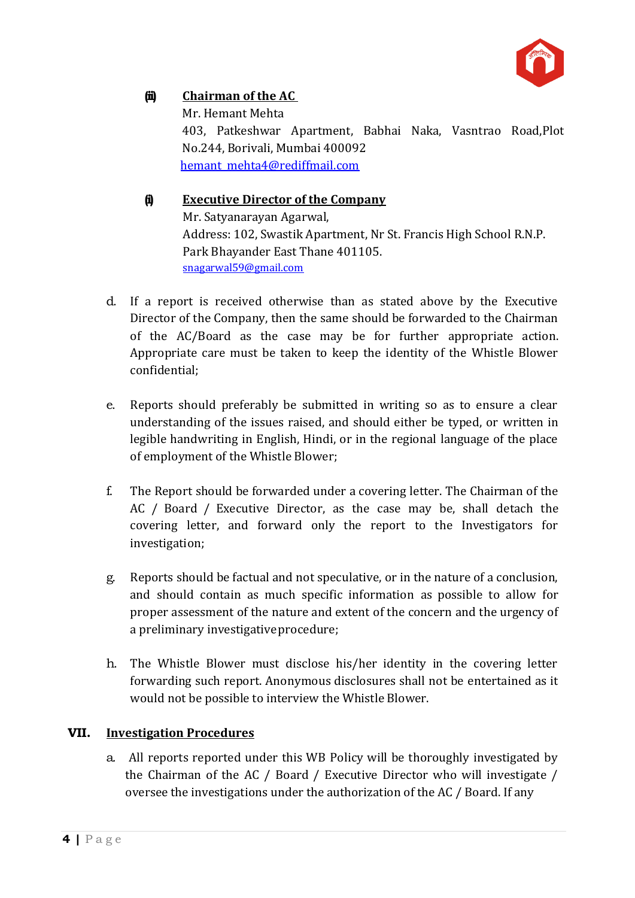

# **(ii) Chairman of the AC**

Mr. Hemant Mehta 403, Patkeshwar Apartment, Babhai Naka, Vasntrao Road,Plot No.244, Borivali, Mumbai 400092 [hemant\\_mehta4@rediffmail.com](mailto:hemant_mehta4@rediffmail.com)

# **(i) Executive Director of the Company**

Mr. Satyanarayan Agarwal, Address: 102, Swastik Apartment, Nr St. Francis High School R.N.P. Park Bhayander East Thane 401105. [snagarwal59@gmail.com](mailto:snagarwal59@gmail.com)

- d. If a report is received otherwise than as stated above by the Executive Director of the Company, then the same should be forwarded to the Chairman of the AC/Board as the case may be for further appropriate action. Appropriate care must be taken to keep the identity of the Whistle Blower confidential;
- e. Reports should preferably be submitted in writing so as to ensure a clear understanding of the issues raised, and should either be typed, or written in legible handwriting in English, Hindi, or in the regional language of the place of employment of the Whistle Blower;
- f. The Report should be forwarded under a covering letter. The Chairman of the AC / Board / Executive Director, as the case may be, shall detach the covering letter, and forward only the report to the Investigators for investigation;
- g. Reports should be factual and not speculative, or in the nature of a conclusion, and should contain as much specific information as possible to allow for proper assessment of the nature and extent of the concern and the urgency of a preliminary investigative procedure;
- h. The Whistle Blower must disclose his/her identity in the covering letter forwarding such report. Anonymous disclosures shall not be entertained as it would not be possible to interview the Whistle Blower.

## **VII. Investigation Procedures**

a. All reports reported under this WB Policy will be thoroughly investigated by the Chairman of the AC / Board / Executive Director who will investigate / oversee the investigations under the authorization of the AC / Board. If any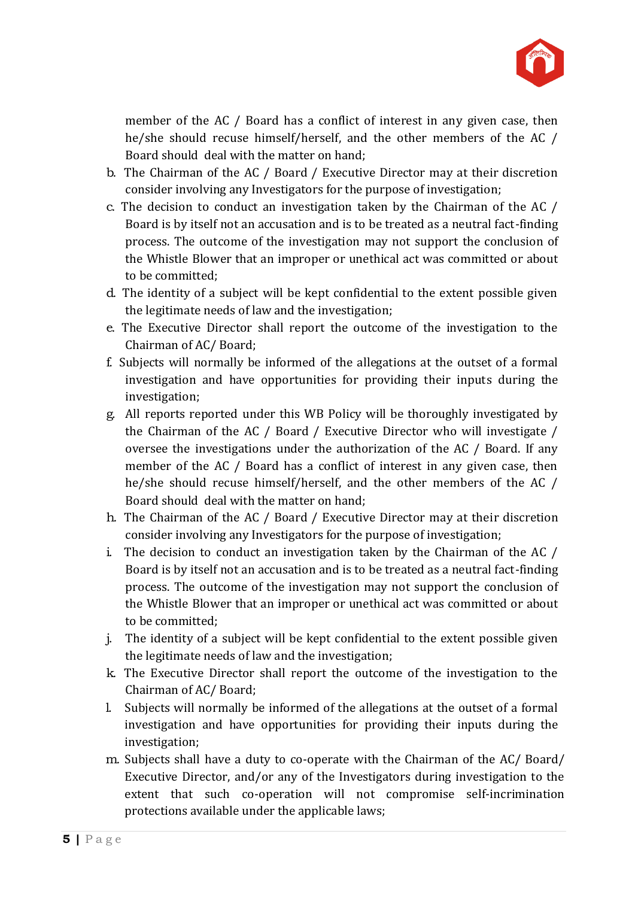

member of the AC / Board has a conflict of interest in any given case, then he/she should recuse himself/herself, and the other members of the AC / Board should deal with the matter on hand;

- b. The Chairman of the AC / Board / Executive Director may at their discretion consider involving any Investigators for the purpose of investigation;
- c. The decision to conduct an investigation taken by the Chairman of the AC / Board is by itself not an accusation and is to be treated as a neutral fact-finding process. The outcome of the investigation may not support the conclusion of the Whistle Blower that an improper or unethical act was committed or about to be committed;
- d. The identity of a subject will be kept confidential to the extent possible given the legitimate needs of law and the investigation;
- e. The Executive Director shall report the outcome of the investigation to the Chairman of AC/ Board;
- f. Subjects will normally be informed of the allegations at the outset of a formal investigation and have opportunities for providing their inputs during the investigation;
- g. All reports reported under this WB Policy will be thoroughly investigated by the Chairman of the AC / Board / Executive Director who will investigate / oversee the investigations under the authorization of the AC / Board. If any member of the AC / Board has a conflict of interest in any given case, then he/she should recuse himself/herself, and the other members of the AC / Board should deal with the matter on hand;
- h. The Chairman of the AC / Board / Executive Director may at their discretion consider involving any Investigators for the purpose of investigation;
- i. The decision to conduct an investigation taken by the Chairman of the AC / Board is by itself not an accusation and is to be treated as a neutral fact-finding process. The outcome of the investigation may not support the conclusion of the Whistle Blower that an improper or unethical act was committed or about to be committed;
- j. The identity of a subject will be kept confidential to the extent possible given the legitimate needs of law and the investigation;
- k. The Executive Director shall report the outcome of the investigation to the Chairman of AC/ Board;
- l. Subjects will normally be informed of the allegations at the outset of a formal investigation and have opportunities for providing their inputs during the investigation;
- m. Subjects shall have a duty to co-operate with the Chairman of the AC/ Board/ Executive Director, and/or any of the Investigators during investigation to the extent that such co-operation will not compromise self-incrimination protections available under the applicable laws;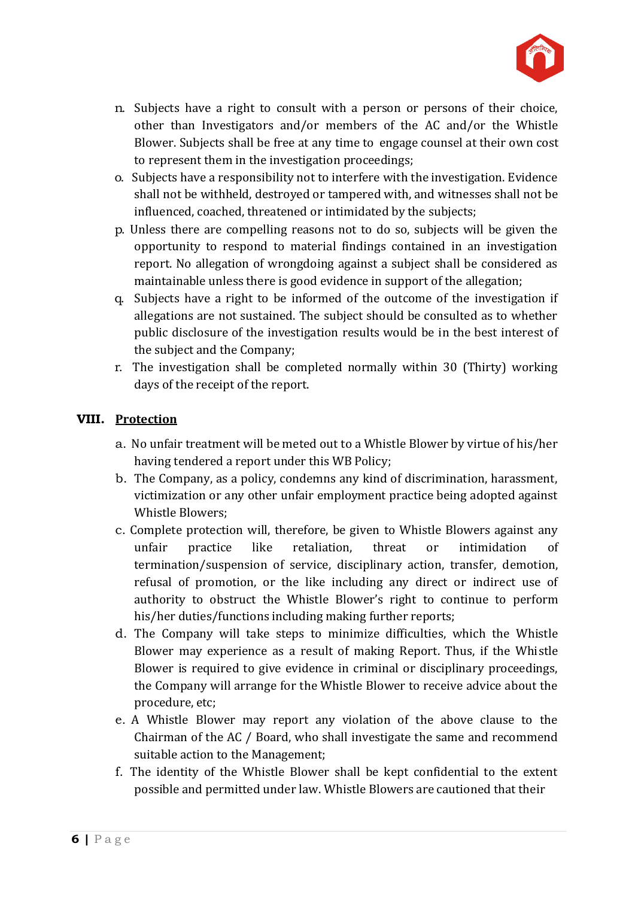

- n. Subjects have a right to consult with a person or persons of their choice, other than Investigators and/or members of the AC and/or the Whistle Blower. Subjects shall be free at any time to engage counsel at their own cost to represent them in the investigation proceedings;
- o. Subjects have a responsibility not to interfere with the investigation. Evidence shall not be withheld, destroyed or tampered with, and witnesses shall not be influenced, coached, threatened or intimidated by the subjects;
- p. Unless there are compelling reasons not to do so, subjects will be given the opportunity to respond to material findings contained in an investigation report. No allegation of wrongdoing against a subject shall be considered as maintainable unless there is good evidence in support of the allegation;
- q. Subjects have a right to be informed of the outcome of the investigation if allegations are not sustained. The subject should be consulted as to whether public disclosure of the investigation results would be in the best interest of the subject and the Company;
- r. The investigation shall be completed normally within 30 (Thirty) working days of the receipt of the report.

# **VIII. Protection**

- a. No unfair treatment will be meted out to a Whistle Blower by virtue of his/her having tendered a report under this WB Policy;
- b. The Company, as a policy, condemns any kind of discrimination, harassment, victimization or any other unfair employment practice being adopted against Whistle Blowers;
- c. Complete protection will, therefore, be given to Whistle Blowers against any unfair practice like retaliation, threat or intimidation of termination/suspension of service, disciplinary action, transfer, demotion, refusal of promotion, or the like including any direct or indirect use of authority to obstruct the Whistle Blower's right to continue to perform his/her duties/functions including making further reports;
- d. The Company will take steps to minimize difficulties, which the Whistle Blower may experience as a result of making Report. Thus, if the Whistle Blower is required to give evidence in criminal or disciplinary proceedings, the Company will arrange for the Whistle Blower to receive advice about the procedure, etc;
- e. A Whistle Blower may report any violation of the above clause to the Chairman of the AC / Board, who shall investigate the same and recommend suitable action to the Management;
- f. The identity of the Whistle Blower shall be kept confidential to the extent possible and permitted under law. Whistle Blowers are cautioned that their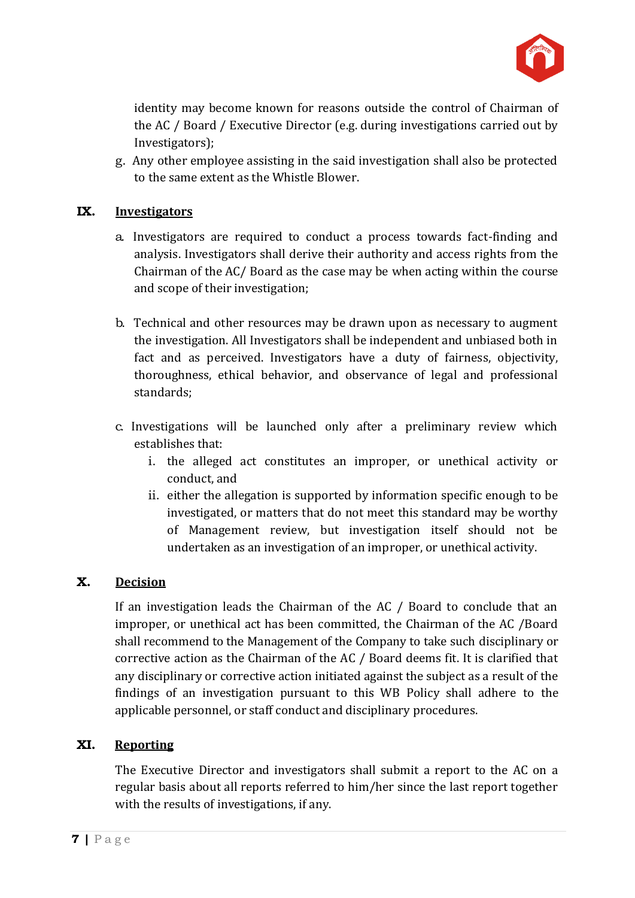

identity may become known for reasons outside the control of Chairman of the AC / Board / Executive Director (e.g. during investigations carried out by Investigators);

g. Any other employee assisting in the said investigation shall also be protected to the same extent as the Whistle Blower.

## **IX. Investigators**

- a. Investigators are required to conduct a process towards fact-finding and analysis. Investigators shall derive their authority and access rights from the Chairman of the AC/ Board as the case may be when acting within the course and scope of their investigation;
- b. Technical and other resources may be drawn upon as necessary to augment the investigation. All Investigators shall be independent and unbiased both in fact and as perceived. Investigators have a duty of fairness, objectivity, thoroughness, ethical behavior, and observance of legal and professional standards;
- c. Investigations will be launched only after a preliminary review which establishes that:
	- i. the alleged act constitutes an improper, or unethical activity or conduct, and
	- ii. either the allegation is supported by information specific enough to be investigated, or matters that do not meet this standard may be worthy of Management review, but investigation itself should not be undertaken as an investigation of an improper, or unethical activity.

## **X. Decision**

If an investigation leads the Chairman of the AC / Board to conclude that an improper, or unethical act has been committed, the Chairman of the AC /Board shall recommend to the Management of the Company to take such disciplinary or corrective action as the Chairman of the AC / Board deems fit. It is clarified that any disciplinary or corrective action initiated against the subject as a result of the findings of an investigation pursuant to this WB Policy shall adhere to the applicable personnel, or staff conduct and disciplinary procedures.

# **XI. Reporting**

The Executive Director and investigators shall submit a report to the AC on a regular basis about all reports referred to him/her since the last report together with the results of investigations, if any.